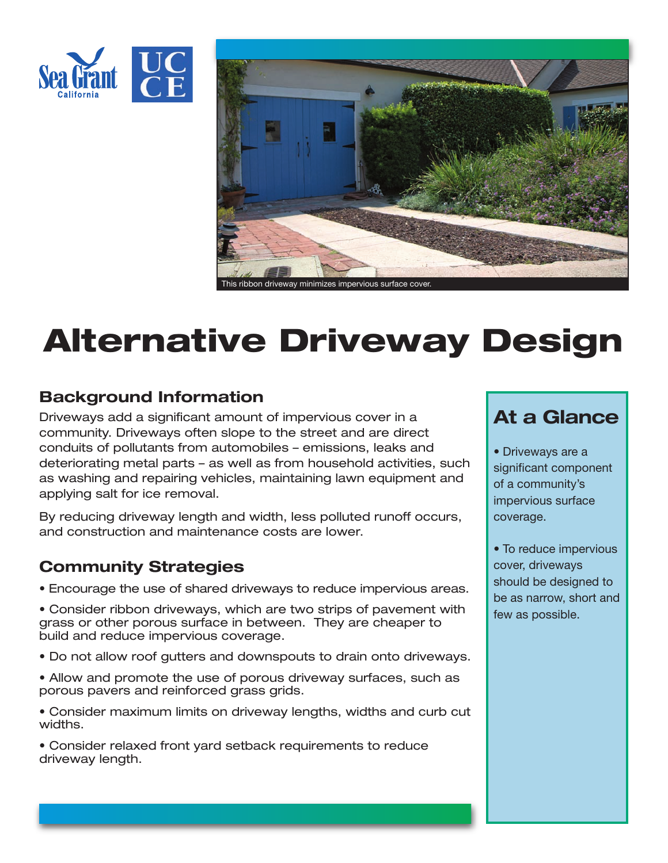



# **Alternative Driveway Design**

## **Background Information**

Driveways add a significant amount of impervious cover in a community. Driveways often slope to the street and are direct conduits of pollutants from automobiles – emissions, leaks and deteriorating metal parts – as well as from household activities, such as washing and repairing vehicles, maintaining lawn equipment and applying salt for ice removal.

By reducing driveway length and width, less polluted runoff occurs, and construction and maintenance costs are lower.

## **Community Strategies**

- Encourage the use of shared driveways to reduce impervious areas.
- Consider ribbon driveways, which are two strips of pavement with grass or other porous surface in between. They are cheaper to build and reduce impervious coverage.
- Do not allow roof gutters and downspouts to drain onto driveways.
- Allow and promote the use of porous driveway surfaces, such as porous pavers and reinforced grass grids.
- Consider maximum limits on driveway lengths, widths and curb cut widths.
- Consider relaxed front yard setback requirements to reduce driveway length.

## **At a Glance**

- Driveways are a significant component of a community's impervious surface coverage.
- To reduce impervious cover, driveways should be designed to be as narrow, short and few as possible.